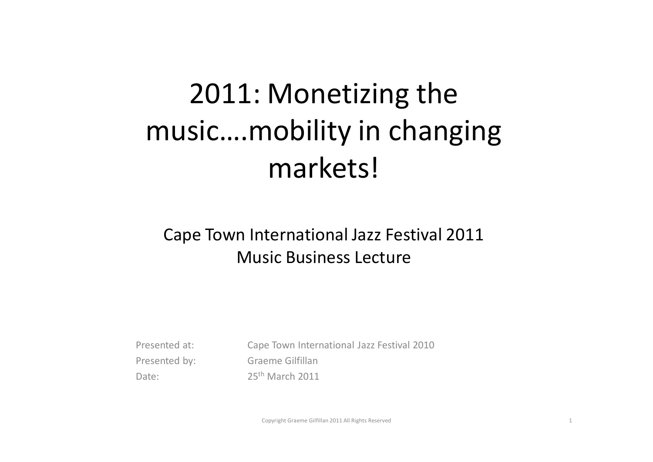## 2011: Monetizing the music….mobility in changing markets!

#### Cape Town International Jazz Festival 2011Music Business Lecture

Presented at: Cape Town International Jazz Festival 2010Presented by: Graeme Gilfillan Date: 25<sup>th</sup> March 2011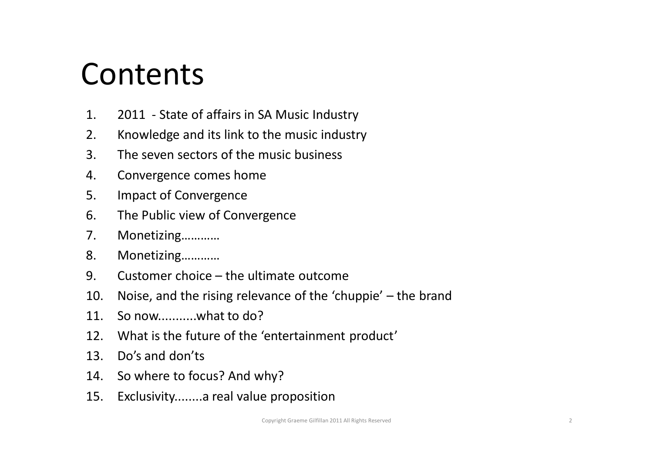#### **Contents**

- 1. 2011 State of affairs in SA Music Industry
- 2. Knowledge and its link to the music industry
- 3. The seven sectors of the music business
- 4. Convergence comes home
- 5. Impact of Convergence
- 6. The Public view of Convergence
- 7. Monetizing…………
- 8. Monetizing…………
- 9. Customer choice the ultimate outcome
- 10. Noise, and the rising relevance of the 'chuppie' the brand
- 11. So now...........what to do?
- 12. What is the future of the 'entertainment product'
- 13. Do's and don'ts
- 14. So where to focus? And why?
- 15. Exclusivity........a real value proposition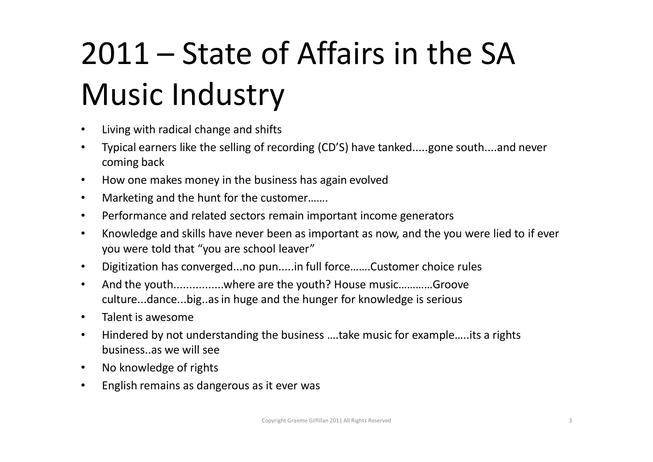# 2011 – State of Affairs in the SA Music Industry

- •Living with radical change and shifts
- • Typical earners like the selling of recording (CD'S) have tanked.....gone south....and never coming back
- $\bullet$ How one makes money in the business has again evolved
- •Marketing and the hunt for the customer…….
- $\bullet$ Performance and related sectors remain important income generators
- • Knowledge and skills have never been as important as now, and the you were lied to if ever you were told that "you are school leaver"
- $\bullet$ Digitization has converged...no pun.....in full force…….Customer choice rules
- • And the youth................where are the youth? House music…………Groove culture...dance...big..as in huge and the hunger for knowledge is serious
- •Talent is awesome
- • Hindered by not understanding the business ….take music for example…..its a rights business..as we will see
- $\bullet$ No knowledge of rights
- $\bullet$ English remains as dangerous as it ever was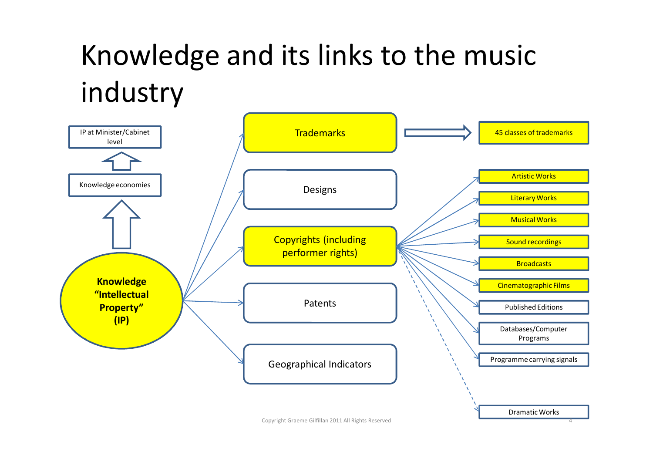### Knowledge and its links to the music industry



Copyright Graeme Gilfillan 2011 All Rights Reserved $\sim$  4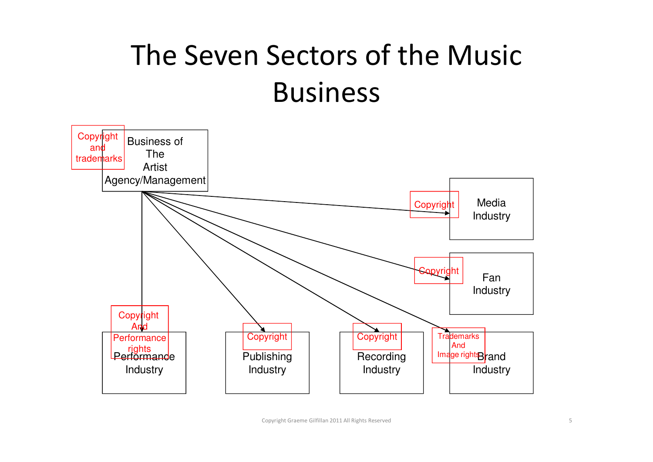### The Seven Sectors of the Music Business

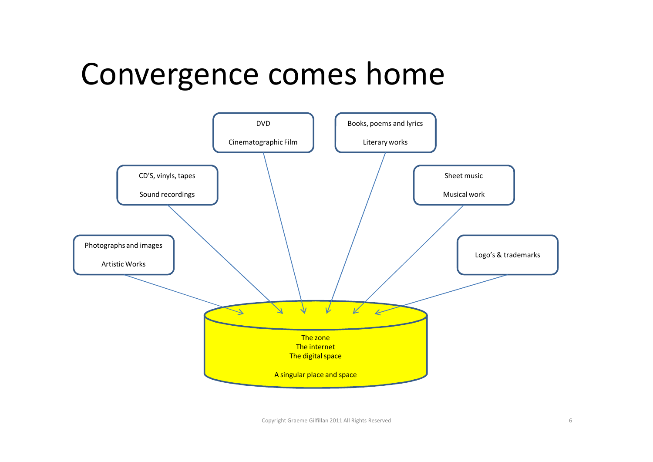#### Convergence comes home

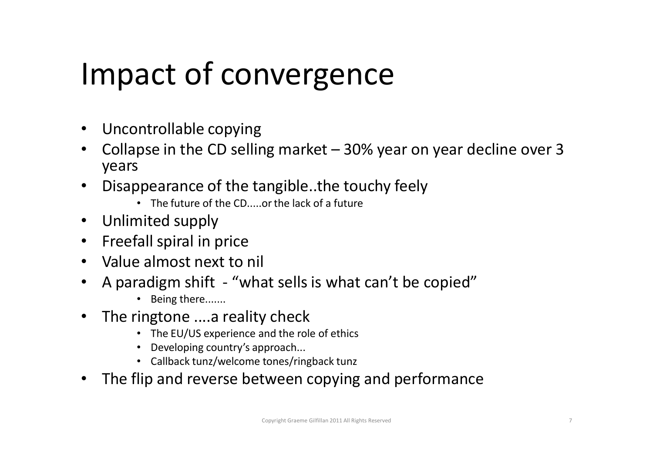# Impact of convergence

- $\bullet$ Uncontrollable copying
- Collapse in the CD selling market 30% year on year decline over 3  $\bullet$ years
- • Disappearance of the tangible..the touchy feely
	- The future of the CD.....or the lack of a future
- $\bullet$ Unlimited supply
- $\bullet$ Freefall spiral in price
- Value almost next to nil
- $\bullet$  A paradigm shift - "what sells is what can't be copied"
	- Being there.......
- $\bullet$  The ringtone ....a reality check
	- The EU/US experience and the role of ethics
	- Developing country's approach...
	- Callback tunz/welcome tones/ringback tunz
- •The flip and reverse between copying and performance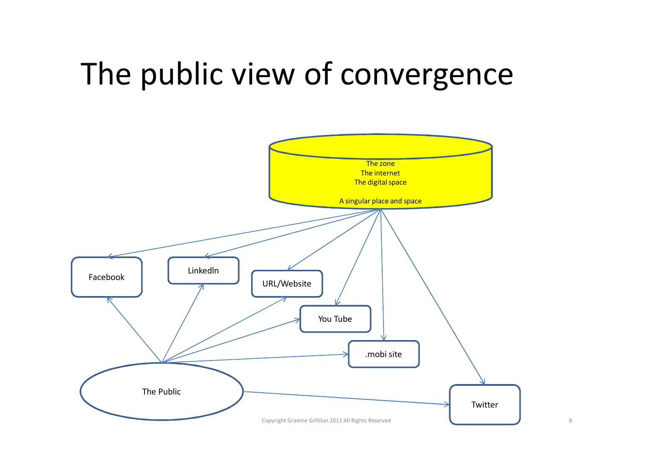### The public view of convergence

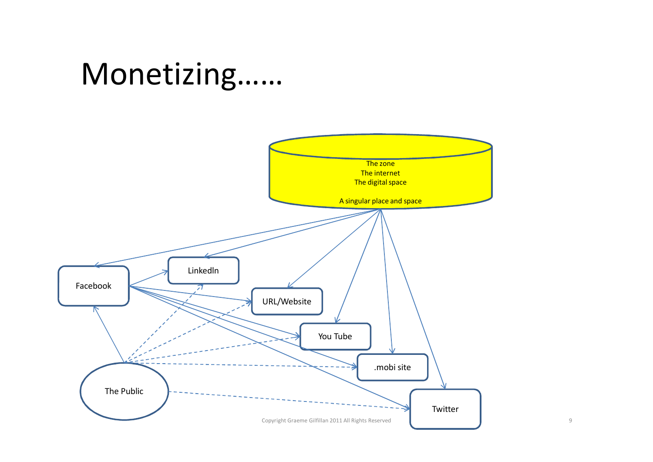#### Monetizing……

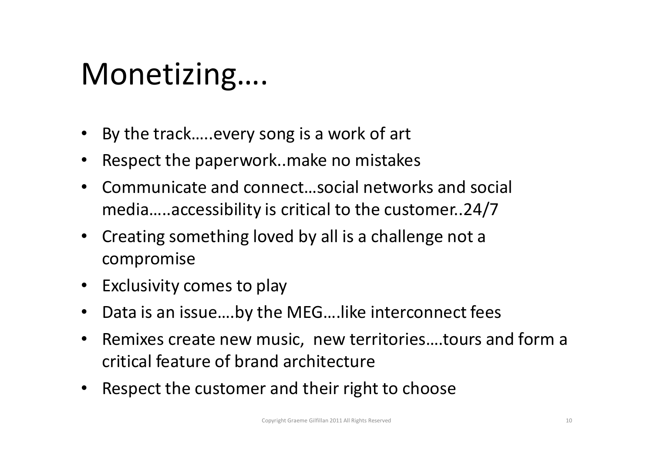#### Monetizing….

- By the track…..every song is a work of art
- $\bullet$ Respect the paperwork..make no mistakes
- $\bullet$  Communicate and connect…social networks and social media…..accessibility is critical to the customer..24/7
- $\bullet$  Creating something loved by all is a challenge not a compromise
- Exclusivity comes to play
- $\bullet$ Data is an issue….by the MEG….like interconnect fees
- • Remixes create new music, new territories….tours and form a critical feature of brand architecture
- $\bullet$ Respect the customer and their right to choose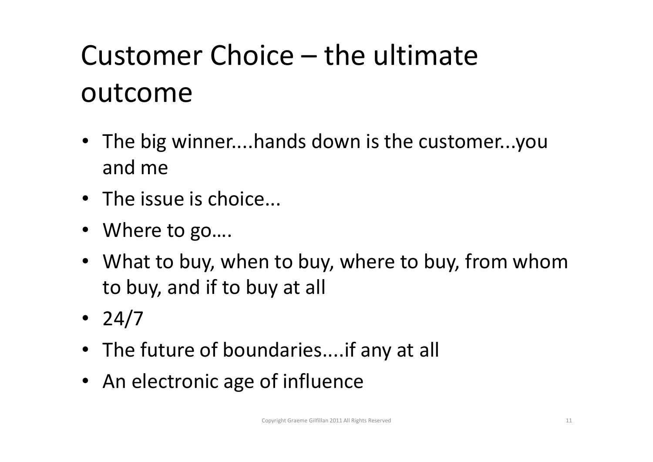## Customer Choice – the ultimate outcome

- The big winner....hands down is the customer...you and me
- The issue is choice...
- Where to go….
- What to buy, when to buy, where to buy, from whom to buy, and if to buy at all
- 24/7
- The future of boundaries....if any at all
- An electronic age of influence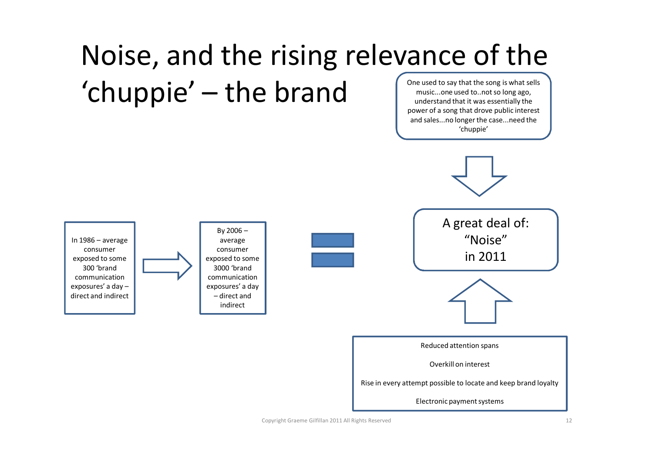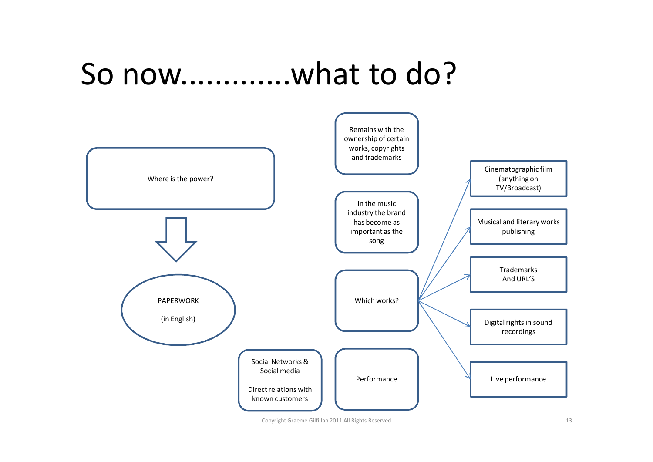#### So now.............what to do?



Copyright Graeme Gilfillan 2011 All Rights Reserved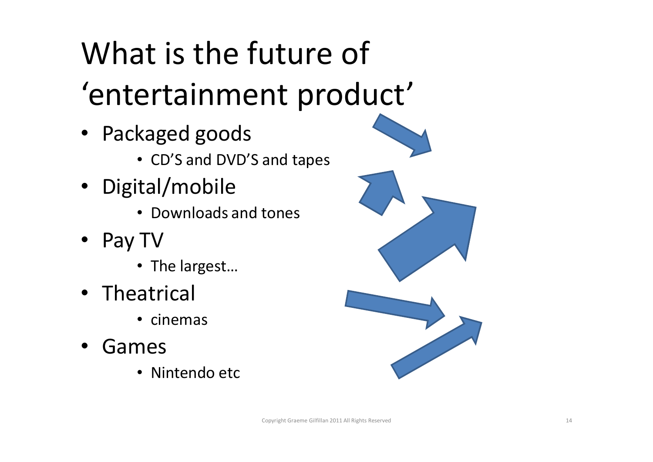# What is the future of 'entertainment product'

- Packaged goods
	- CD'S and DVD'S and tapes
- Digital/mobile
	- Downloads and tones
- Pay TV
	- The largest…
- Theatrical
	- cinemas
- • Games
	- Nintendo etc

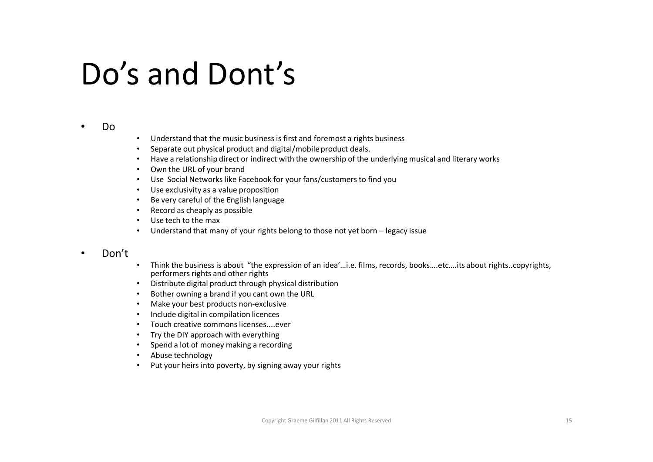#### Do's and Dont's

#### •Do

- Understand that the music business is first and foremost a rights business
- Separate out physical product and digital/mobile product deals.
- Have a relationship direct or indirect with the ownership of the underlying musical and literary works
- Own the URL of your brand
- Use Social Networks like Facebook for your fans/customers to find you
- Use exclusivity as a value proposition
- Be very careful of the English language•
- Record as cheaply as possible
- Use tech to the max
- Understand that many of your rights belong to those not yet born legacy issue

#### •Don't

- • Think the business is about "the expression of an idea'…i.e. films, records, books….etc….its about rights..copyrights, performers rights and other rights
- Distribute digital product through physical distribution
- •Bother owning a brand if you cant own the URL
- Make your best products non-exclusive
- Include digital in compilation licences
- Touch creative commons licenses....ever
- Try the DIY approach with everything
- Spend a lot of money making a recording
- Abuse technology
- Put your heirs into poverty, by signing away your rights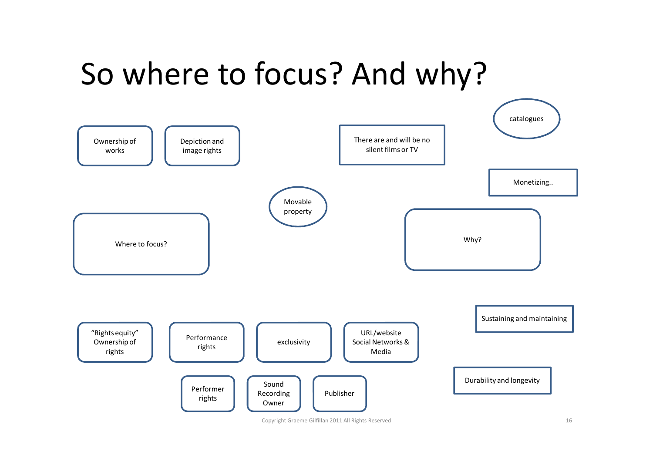### So where to focus? And why?



Copyright Graeme Gilfillan 2011 All Rights Reserved